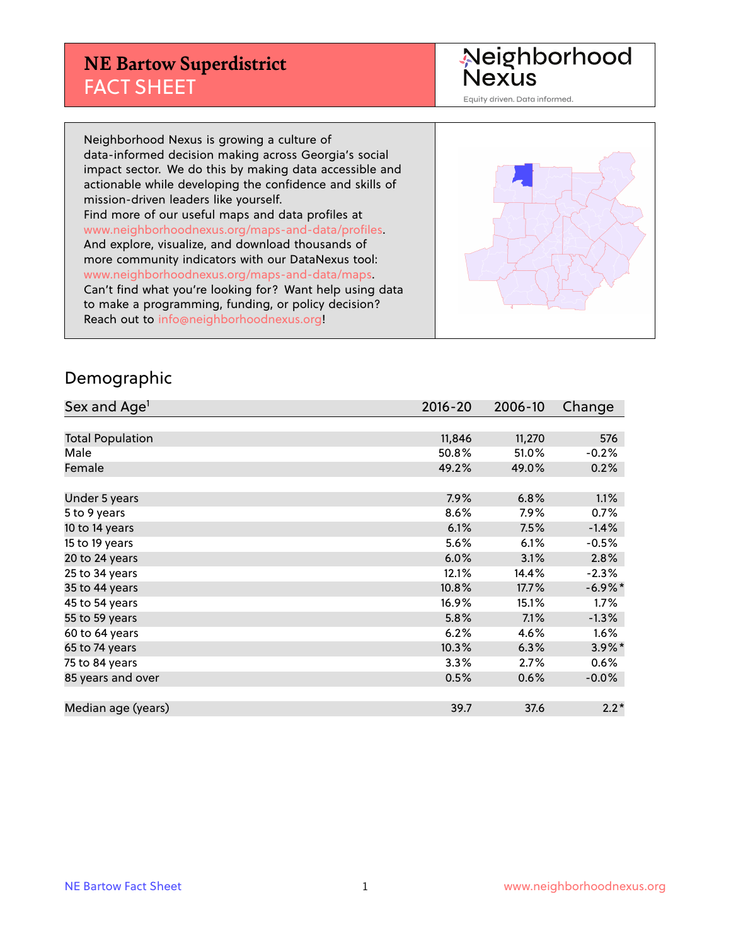## **NE Bartow Superdistrict** FACT SHEET

Neighborhood<br>Nexus

Equity driven. Data informed.

Neighborhood Nexus is growing a culture of data-informed decision making across Georgia's social impact sector. We do this by making data accessible and actionable while developing the confidence and skills of mission-driven leaders like yourself. Find more of our useful maps and data profiles at www.neighborhoodnexus.org/maps-and-data/profiles. And explore, visualize, and download thousands of more community indicators with our DataNexus tool: www.neighborhoodnexus.org/maps-and-data/maps. Can't find what you're looking for? Want help using data to make a programming, funding, or policy decision? Reach out to [info@neighborhoodnexus.org!](mailto:info@neighborhoodnexus.org)



#### Demographic

| Sex and Age <sup>1</sup> | $2016 - 20$ | 2006-10 | Change     |
|--------------------------|-------------|---------|------------|
|                          |             |         |            |
| <b>Total Population</b>  | 11,846      | 11,270  | 576        |
| Male                     | 50.8%       | 51.0%   | $-0.2%$    |
| Female                   | 49.2%       | 49.0%   | 0.2%       |
|                          |             |         |            |
| Under 5 years            | 7.9%        | 6.8%    | 1.1%       |
| 5 to 9 years             | 8.6%        | 7.9%    | 0.7%       |
| 10 to 14 years           | 6.1%        | 7.5%    | $-1.4%$    |
| 15 to 19 years           | 5.6%        | 6.1%    | $-0.5%$    |
| 20 to 24 years           | 6.0%        | 3.1%    | 2.8%       |
| 25 to 34 years           | 12.1%       | 14.4%   | $-2.3%$    |
| 35 to 44 years           | 10.8%       | 17.7%   | $-6.9\%$ * |
| 45 to 54 years           | 16.9%       | 15.1%   | 1.7%       |
| 55 to 59 years           | 5.8%        | 7.1%    | $-1.3%$    |
| 60 to 64 years           | 6.2%        | 4.6%    | 1.6%       |
| 65 to 74 years           | 10.3%       | 6.3%    | $3.9\%$ *  |
| 75 to 84 years           | 3.3%        | 2.7%    | 0.6%       |
| 85 years and over        | 0.5%        | 0.6%    | $-0.0\%$   |
|                          |             |         |            |
| Median age (years)       | 39.7        | 37.6    | $2.2*$     |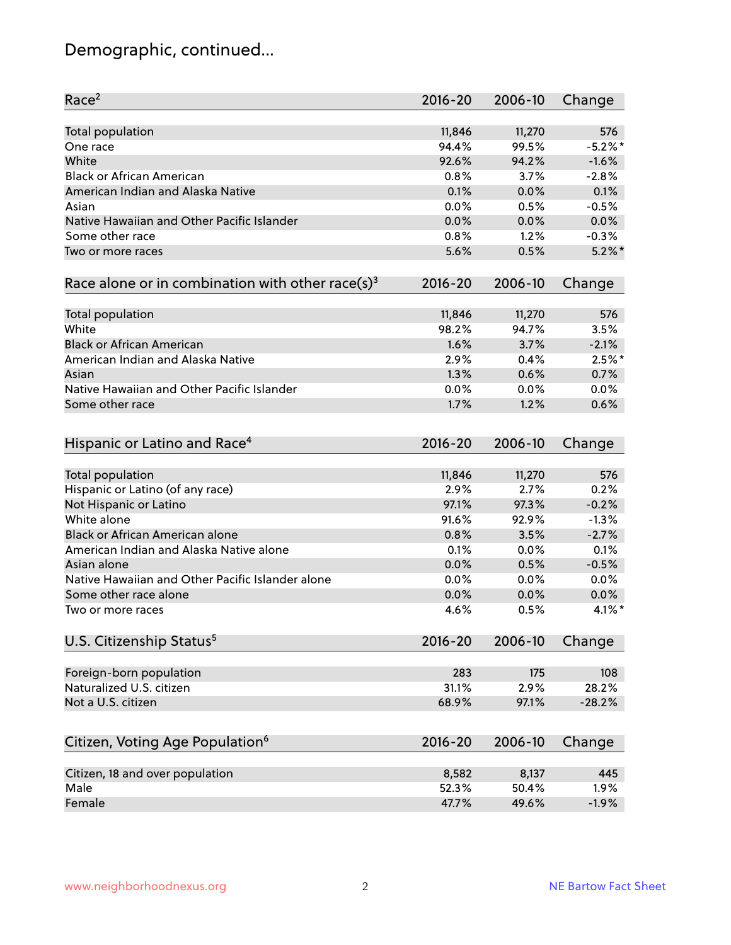# Demographic, continued...

| Race <sup>2</sup>                                            | $2016 - 20$ | 2006-10 | Change    |
|--------------------------------------------------------------|-------------|---------|-----------|
| <b>Total population</b>                                      | 11,846      | 11,270  | 576       |
| One race                                                     | 94.4%       | 99.5%   | $-5.2%$   |
| White                                                        | 92.6%       | 94.2%   | $-1.6%$   |
| <b>Black or African American</b>                             | 0.8%        | 3.7%    | $-2.8%$   |
| American Indian and Alaska Native                            | 0.1%        | 0.0%    | 0.1%      |
| Asian                                                        | 0.0%        | 0.5%    | $-0.5%$   |
| Native Hawaiian and Other Pacific Islander                   | 0.0%        | 0.0%    | 0.0%      |
| Some other race                                              | 0.8%        | 1.2%    | $-0.3%$   |
| Two or more races                                            | 5.6%        | 0.5%    | $5.2\%$ * |
| Race alone or in combination with other race(s) <sup>3</sup> | $2016 - 20$ | 2006-10 | Change    |
| Total population                                             | 11,846      | 11,270  | 576       |
| White                                                        | 98.2%       | 94.7%   | 3.5%      |
| <b>Black or African American</b>                             | 1.6%        | 3.7%    | $-2.1%$   |
| American Indian and Alaska Native                            | 2.9%        | 0.4%    | $2.5%$ *  |
| Asian                                                        | 1.3%        | 0.6%    | 0.7%      |
| Native Hawaiian and Other Pacific Islander                   | 0.0%        | 0.0%    | 0.0%      |
| Some other race                                              | 1.7%        | 1.2%    | 0.6%      |
| Hispanic or Latino and Race <sup>4</sup>                     | $2016 - 20$ | 2006-10 | Change    |
| <b>Total population</b>                                      | 11,846      | 11,270  | 576       |
| Hispanic or Latino (of any race)                             | 2.9%        | 2.7%    | 0.2%      |
| Not Hispanic or Latino                                       | 97.1%       | 97.3%   | $-0.2%$   |
| White alone                                                  | 91.6%       | 92.9%   | $-1.3%$   |
| <b>Black or African American alone</b>                       | 0.8%        | 3.5%    | $-2.7%$   |
| American Indian and Alaska Native alone                      | 0.1%        | 0.0%    | 0.1%      |
| Asian alone                                                  | 0.0%        | 0.5%    | $-0.5%$   |
| Native Hawaiian and Other Pacific Islander alone             | 0.0%        | 0.0%    | 0.0%      |
| Some other race alone                                        | 0.0%        | 0.0%    | 0.0%      |
| Two or more races                                            | 4.6%        | 0.5%    | $4.1\%$ * |
| U.S. Citizenship Status <sup>5</sup>                         | $2016 - 20$ | 2006-10 | Change    |
|                                                              |             |         |           |
| Foreign-born population                                      | 283         | 175     | 108       |
| Naturalized U.S. citizen                                     | 31.1%       | 2.9%    | 28.2%     |
| Not a U.S. citizen                                           | 68.9%       | 97.1%   | $-28.2%$  |
| Citizen, Voting Age Population <sup>6</sup>                  | $2016 - 20$ | 2006-10 | Change    |
| Citizen, 18 and over population                              | 8,582       | 8,137   | 445       |
| Male                                                         | 52.3%       | 50.4%   | 1.9%      |
| Female                                                       | 47.7%       | 49.6%   | $-1.9%$   |
|                                                              |             |         |           |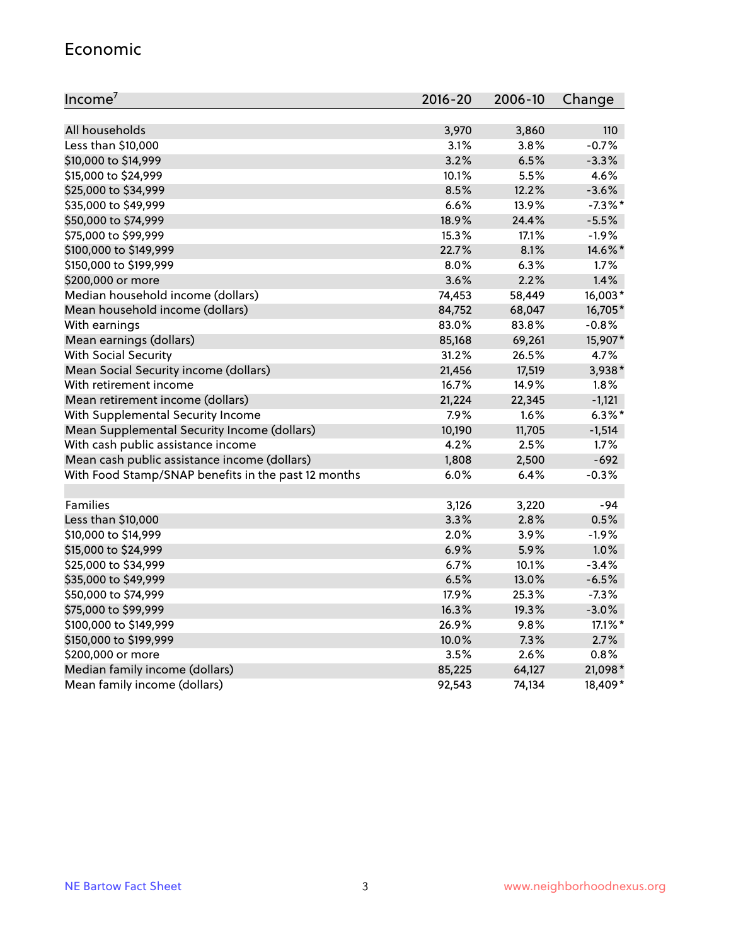#### Economic

| Income <sup>7</sup>                                 | $2016 - 20$ | 2006-10 | Change     |
|-----------------------------------------------------|-------------|---------|------------|
|                                                     |             |         |            |
| All households                                      | 3,970       | 3,860   | 110        |
| Less than \$10,000                                  | 3.1%        | 3.8%    | $-0.7%$    |
| \$10,000 to \$14,999                                | 3.2%        | 6.5%    | $-3.3%$    |
| \$15,000 to \$24,999                                | 10.1%       | 5.5%    | 4.6%       |
| \$25,000 to \$34,999                                | 8.5%        | 12.2%   | $-3.6%$    |
| \$35,000 to \$49,999                                | 6.6%        | 13.9%   | $-7.3\%$ * |
| \$50,000 to \$74,999                                | 18.9%       | 24.4%   | $-5.5%$    |
| \$75,000 to \$99,999                                | 15.3%       | 17.1%   | $-1.9%$    |
| \$100,000 to \$149,999                              | 22.7%       | 8.1%    | 14.6%*     |
| \$150,000 to \$199,999                              | 8.0%        | 6.3%    | 1.7%       |
| \$200,000 or more                                   | 3.6%        | 2.2%    | 1.4%       |
| Median household income (dollars)                   | 74,453      | 58,449  | 16,003*    |
| Mean household income (dollars)                     | 84,752      | 68,047  | 16,705*    |
| With earnings                                       | 83.0%       | 83.8%   | $-0.8%$    |
| Mean earnings (dollars)                             | 85,168      | 69,261  | 15,907*    |
| <b>With Social Security</b>                         | 31.2%       | 26.5%   | 4.7%       |
| Mean Social Security income (dollars)               | 21,456      | 17,519  | 3,938*     |
| With retirement income                              | 16.7%       | 14.9%   | 1.8%       |
| Mean retirement income (dollars)                    | 21,224      | 22,345  | $-1,121$   |
| With Supplemental Security Income                   | 7.9%        | 1.6%    | $6.3\%$ *  |
| Mean Supplemental Security Income (dollars)         | 10,190      | 11,705  | $-1,514$   |
| With cash public assistance income                  | 4.2%        | 2.5%    | 1.7%       |
| Mean cash public assistance income (dollars)        | 1,808       | 2,500   | $-692$     |
| With Food Stamp/SNAP benefits in the past 12 months | 6.0%        | 6.4%    | $-0.3%$    |
|                                                     |             |         |            |
| Families                                            | 3,126       | 3,220   | $-94$      |
| Less than \$10,000                                  | 3.3%        | 2.8%    | 0.5%       |
| \$10,000 to \$14,999                                | 2.0%        | 3.9%    | $-1.9%$    |
| \$15,000 to \$24,999                                | 6.9%        | 5.9%    | 1.0%       |
| \$25,000 to \$34,999                                | 6.7%        | 10.1%   | $-3.4%$    |
| \$35,000 to \$49,999                                | 6.5%        | 13.0%   | $-6.5%$    |
| \$50,000 to \$74,999                                | 17.9%       | 25.3%   | $-7.3%$    |
| \$75,000 to \$99,999                                | 16.3%       | 19.3%   | $-3.0%$    |
| \$100,000 to \$149,999                              | 26.9%       | $9.8\%$ | 17.1%*     |
| \$150,000 to \$199,999                              | 10.0%       | 7.3%    | 2.7%       |
| \$200,000 or more                                   | 3.5%        | 2.6%    | 0.8%       |
| Median family income (dollars)                      | 85,225      | 64,127  | 21,098*    |
| Mean family income (dollars)                        | 92,543      | 74,134  | 18,409*    |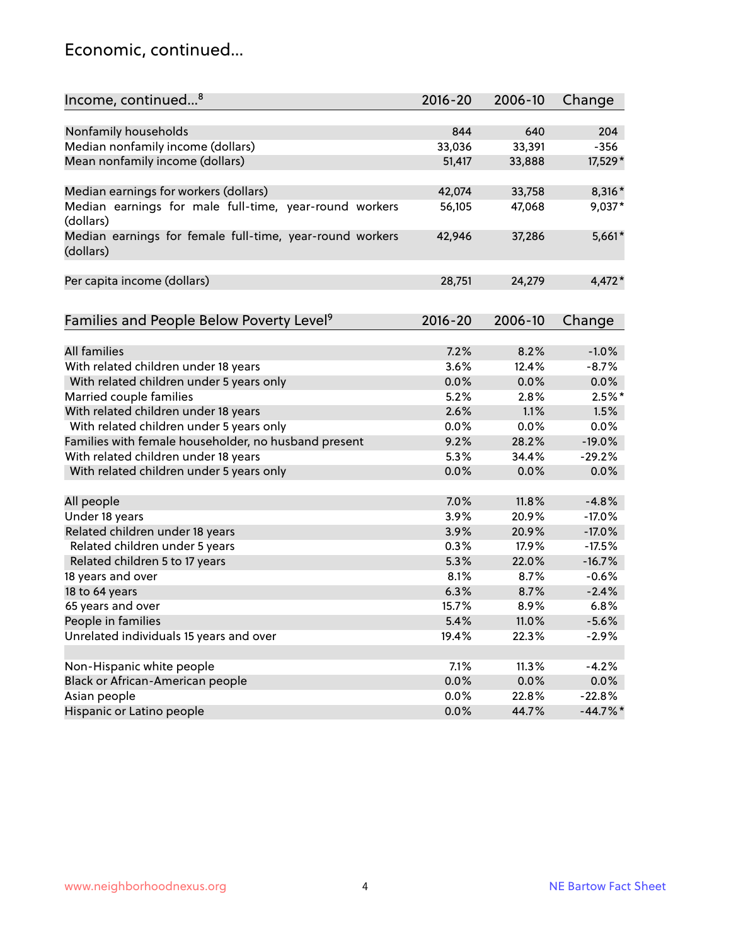### Economic, continued...

| Income, continued <sup>8</sup>                                        | $2016 - 20$ | 2006-10 | Change   |
|-----------------------------------------------------------------------|-------------|---------|----------|
|                                                                       |             |         |          |
| Nonfamily households                                                  | 844         | 640     | 204      |
| Median nonfamily income (dollars)                                     | 33,036      | 33,391  | $-356$   |
| Mean nonfamily income (dollars)                                       | 51,417      | 33,888  | 17,529*  |
| Median earnings for workers (dollars)                                 | 42,074      | 33,758  | 8,316*   |
| Median earnings for male full-time, year-round workers<br>(dollars)   | 56,105      | 47,068  | 9,037*   |
| Median earnings for female full-time, year-round workers<br>(dollars) | 42,946      | 37,286  | $5,661*$ |
| Per capita income (dollars)                                           | 28,751      | 24,279  | $4,472*$ |
|                                                                       | $2016 - 20$ | 2006-10 |          |
| Families and People Below Poverty Level <sup>9</sup>                  |             |         | Change   |
| <b>All families</b>                                                   | 7.2%        | 8.2%    | $-1.0%$  |
| With related children under 18 years                                  | 3.6%        | 12.4%   | $-8.7%$  |
| With related children under 5 years only                              | 0.0%        | 0.0%    | 0.0%     |
| Married couple families                                               | 5.2%        | 2.8%    | $2.5%$ * |
| With related children under 18 years                                  | 2.6%        | 1.1%    | 1.5%     |
| With related children under 5 years only                              | 0.0%        | 0.0%    | 0.0%     |
| Families with female householder, no husband present                  | 9.2%        | 28.2%   | $-19.0%$ |
| With related children under 18 years                                  | 5.3%        | 34.4%   | $-29.2%$ |
| With related children under 5 years only                              | 0.0%        | 0.0%    | 0.0%     |
| All people                                                            | 7.0%        | 11.8%   | $-4.8%$  |
| Under 18 years                                                        | 3.9%        | 20.9%   | $-17.0%$ |
| Related children under 18 years                                       | 3.9%        | 20.9%   | $-17.0%$ |
| Related children under 5 years                                        | 0.3%        | 17.9%   | $-17.5%$ |
| Related children 5 to 17 years                                        | 5.3%        | 22.0%   | $-16.7%$ |
| 18 years and over                                                     | 8.1%        | 8.7%    | $-0.6%$  |
| 18 to 64 years                                                        | 6.3%        | 8.7%    | $-2.4%$  |
| 65 years and over                                                     | 15.7%       | 8.9%    | 6.8%     |
| People in families                                                    | 5.4%        | 11.0%   | $-5.6%$  |
| Unrelated individuals 15 years and over                               | 19.4%       | 22.3%   | $-2.9%$  |
|                                                                       |             |         |          |
| Non-Hispanic white people                                             | 7.1%        | 11.3%   | $-4.2%$  |
| Black or African-American people                                      | 0.0%        | 0.0%    | 0.0%     |
| Asian people                                                          | $0.0\%$     | 22.8%   | $-22.8%$ |
| Hispanic or Latino people                                             | 0.0%        | 44.7%   | $-44.7%$ |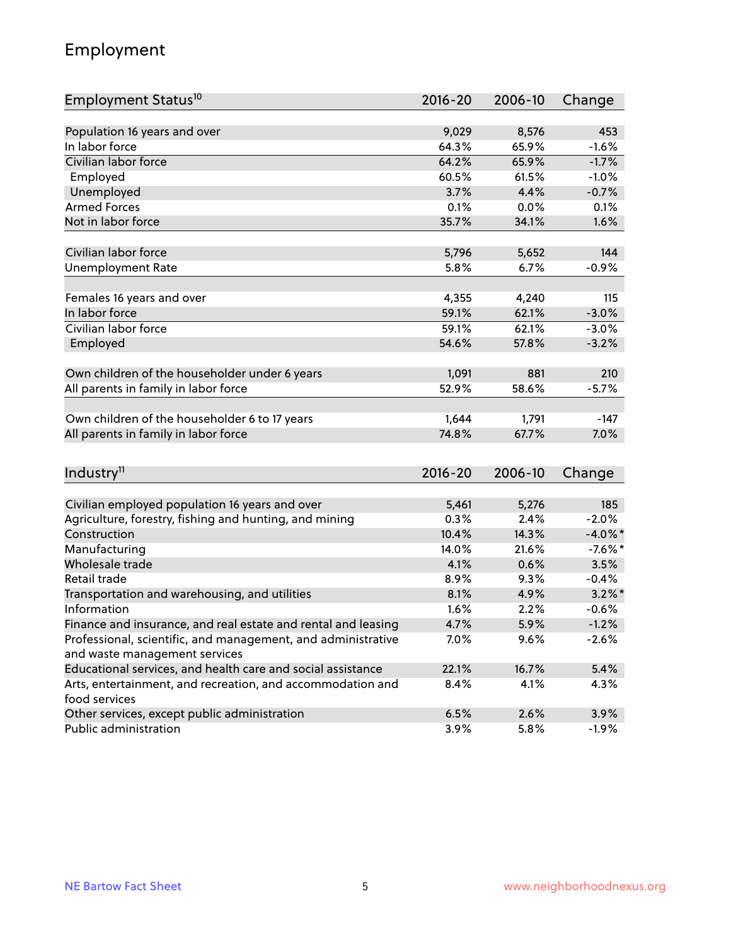# Employment

| Employment Status <sup>10</sup>                                                               | 2016-20     | 2006-10 | Change     |
|-----------------------------------------------------------------------------------------------|-------------|---------|------------|
|                                                                                               |             |         |            |
| Population 16 years and over                                                                  | 9,029       | 8,576   | 453        |
| In labor force                                                                                | 64.3%       | 65.9%   | $-1.6%$    |
| Civilian labor force                                                                          | 64.2%       | 65.9%   | $-1.7%$    |
| Employed                                                                                      | 60.5%       | 61.5%   | $-1.0%$    |
| Unemployed                                                                                    | 3.7%        | 4.4%    | $-0.7%$    |
| <b>Armed Forces</b>                                                                           | 0.1%        | 0.0%    | 0.1%       |
| Not in labor force                                                                            | 35.7%       | 34.1%   | 1.6%       |
| Civilian labor force                                                                          |             |         | 144        |
|                                                                                               | 5,796       | 5,652   |            |
| <b>Unemployment Rate</b>                                                                      | 5.8%        | 6.7%    | $-0.9%$    |
| Females 16 years and over                                                                     | 4,355       | 4,240   | 115        |
| In labor force                                                                                | 59.1%       | 62.1%   | $-3.0%$    |
| Civilian labor force                                                                          | 59.1%       | 62.1%   | $-3.0%$    |
| Employed                                                                                      | 54.6%       | 57.8%   | $-3.2%$    |
|                                                                                               |             |         |            |
| Own children of the householder under 6 years                                                 | 1,091       | 881     | 210        |
| All parents in family in labor force                                                          | 52.9%       | 58.6%   | $-5.7%$    |
|                                                                                               |             |         |            |
| Own children of the householder 6 to 17 years                                                 | 1,644       | 1,791   | $-147$     |
| All parents in family in labor force                                                          | 74.8%       | 67.7%   | 7.0%       |
|                                                                                               |             |         |            |
| Industry <sup>11</sup>                                                                        | $2016 - 20$ | 2006-10 | Change     |
|                                                                                               |             |         |            |
| Civilian employed population 16 years and over                                                | 5,461       | 5,276   | 185        |
| Agriculture, forestry, fishing and hunting, and mining                                        | 0.3%        | 2.4%    | $-2.0%$    |
| Construction                                                                                  | 10.4%       | 14.3%   | $-4.0\%$ * |
| Manufacturing                                                                                 | 14.0%       | 21.6%   | $-7.6\%$ * |
| Wholesale trade                                                                               | 4.1%        | 0.6%    | 3.5%       |
| Retail trade                                                                                  | 8.9%        | 9.3%    | $-0.4%$    |
| Transportation and warehousing, and utilities                                                 | 8.1%        | 4.9%    | $3.2\%$ *  |
| Information                                                                                   | 1.6%        | 2.2%    | $-0.6%$    |
| Finance and insurance, and real estate and rental and leasing                                 | 4.7%        | 5.9%    | $-1.2%$    |
| Professional, scientific, and management, and administrative<br>and waste management services | 7.0%        | 9.6%    | $-2.6%$    |
| Educational services, and health care and social assistance                                   | 22.1%       | 16.7%   | 5.4%       |
|                                                                                               |             | 4.1%    |            |
| Arts, entertainment, and recreation, and accommodation and<br>food services                   | 8.4%        |         | 4.3%       |
| Other services, except public administration                                                  | 6.5%        | 2.6%    | 3.9%       |
| Public administration                                                                         | 3.9%        | 5.8%    | $-1.9\%$   |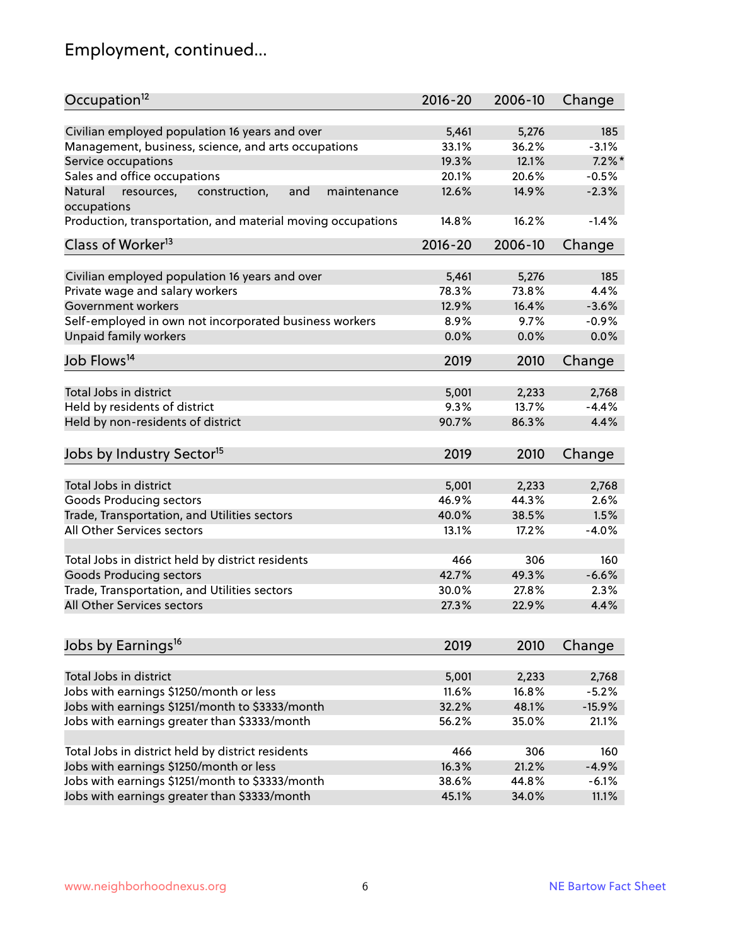# Employment, continued...

| Occupation <sup>12</sup>                                                    | $2016 - 20$ | 2006-10 | Change    |
|-----------------------------------------------------------------------------|-------------|---------|-----------|
| Civilian employed population 16 years and over                              | 5,461       | 5,276   | 185       |
| Management, business, science, and arts occupations                         | 33.1%       | 36.2%   | $-3.1%$   |
| Service occupations                                                         | 19.3%       | 12.1%   | $7.2\%$ * |
|                                                                             | 20.1%       | 20.6%   | $-0.5%$   |
| Sales and office occupations                                                |             |         |           |
| Natural<br>and<br>resources,<br>construction,<br>maintenance<br>occupations | 12.6%       | 14.9%   | $-2.3%$   |
| Production, transportation, and material moving occupations                 | 14.8%       | 16.2%   | $-1.4%$   |
| Class of Worker <sup>13</sup>                                               | $2016 - 20$ | 2006-10 | Change    |
| Civilian employed population 16 years and over                              | 5,461       | 5,276   | 185       |
| Private wage and salary workers                                             | 78.3%       | 73.8%   | 4.4%      |
| Government workers                                                          | 12.9%       | 16.4%   | $-3.6%$   |
| Self-employed in own not incorporated business workers                      | 8.9%        | 9.7%    | $-0.9%$   |
| Unpaid family workers                                                       | 0.0%        | 0.0%    | 0.0%      |
| Job Flows <sup>14</sup>                                                     | 2019        | 2010    | Change    |
|                                                                             |             |         |           |
| Total Jobs in district                                                      | 5,001       | 2,233   | 2,768     |
| Held by residents of district                                               | 9.3%        | 13.7%   | $-4.4%$   |
| Held by non-residents of district                                           | 90.7%       | 86.3%   | 4.4%      |
| Jobs by Industry Sector <sup>15</sup>                                       | 2019        | 2010    | Change    |
| Total Jobs in district                                                      | 5,001       | 2,233   | 2,768     |
| Goods Producing sectors                                                     | 46.9%       | 44.3%   | 2.6%      |
| Trade, Transportation, and Utilities sectors                                | 40.0%       | 38.5%   | 1.5%      |
| All Other Services sectors                                                  | 13.1%       | 17.2%   | $-4.0%$   |
|                                                                             |             |         |           |
| Total Jobs in district held by district residents                           | 466         | 306     | 160       |
| <b>Goods Producing sectors</b>                                              | 42.7%       | 49.3%   | $-6.6%$   |
| Trade, Transportation, and Utilities sectors                                | 30.0%       | 27.8%   | 2.3%      |
| All Other Services sectors                                                  | 27.3%       | 22.9%   | 4.4%      |
|                                                                             |             |         |           |
| Jobs by Earnings <sup>16</sup>                                              | 2019        | 2010    | Change    |
| Total Jobs in district                                                      | 5,001       | 2,233   | 2,768     |
| Jobs with earnings \$1250/month or less                                     | 11.6%       | 16.8%   | $-5.2%$   |
| Jobs with earnings \$1251/month to \$3333/month                             | 32.2%       | 48.1%   | $-15.9%$  |
| Jobs with earnings greater than \$3333/month                                | 56.2%       | 35.0%   | 21.1%     |
|                                                                             |             |         |           |
| Total Jobs in district held by district residents                           | 466         | 306     | 160       |
| Jobs with earnings \$1250/month or less                                     | 16.3%       | 21.2%   | $-4.9%$   |
| Jobs with earnings \$1251/month to \$3333/month                             | 38.6%       | 44.8%   | $-6.1%$   |
| Jobs with earnings greater than \$3333/month                                | 45.1%       | 34.0%   | 11.1%     |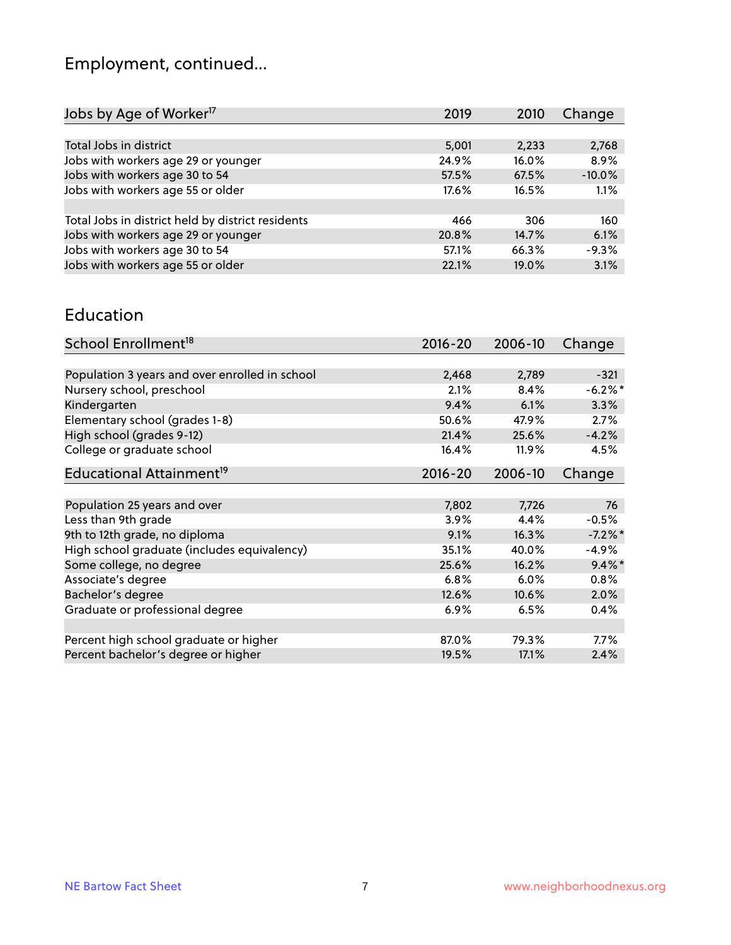# Employment, continued...

| Jobs by Age of Worker <sup>17</sup>               | 2019  | 2010  | Change   |
|---------------------------------------------------|-------|-------|----------|
|                                                   |       |       |          |
| Total Jobs in district                            | 5,001 | 2,233 | 2,768    |
| Jobs with workers age 29 or younger               | 24.9% | 16.0% | 8.9%     |
| Jobs with workers age 30 to 54                    | 57.5% | 67.5% | $-10.0%$ |
| Jobs with workers age 55 or older                 | 17.6% | 16.5% | 1.1%     |
|                                                   |       |       |          |
| Total Jobs in district held by district residents | 466   | 306   | 160      |
| Jobs with workers age 29 or younger               | 20.8% | 14.7% | 6.1%     |
| Jobs with workers age 30 to 54                    | 57.1% | 66.3% | $-9.3%$  |
| Jobs with workers age 55 or older                 | 22.1% | 19.0% | 3.1%     |

#### Education

| School Enrollment <sup>18</sup>                | $2016 - 20$ | 2006-10 | Change     |
|------------------------------------------------|-------------|---------|------------|
|                                                |             |         |            |
| Population 3 years and over enrolled in school | 2,468       | 2,789   | $-321$     |
| Nursery school, preschool                      | 2.1%        | 8.4%    | $-6.2\%$ * |
| Kindergarten                                   | 9.4%        | 6.1%    | 3.3%       |
| Elementary school (grades 1-8)                 | 50.6%       | 47.9%   | 2.7%       |
| High school (grades 9-12)                      | 21.4%       | 25.6%   | $-4.2%$    |
| College or graduate school                     | 16.4%       | 11.9%   | 4.5%       |
| Educational Attainment <sup>19</sup>           | $2016 - 20$ | 2006-10 | Change     |
|                                                |             |         |            |
| Population 25 years and over                   | 7,802       | 7,726   | 76         |
| Less than 9th grade                            | 3.9%        | 4.4%    | $-0.5%$    |
| 9th to 12th grade, no diploma                  | 9.1%        | 16.3%   | $-7.2%$ *  |
| High school graduate (includes equivalency)    | 35.1%       | 40.0%   | $-4.9%$    |
| Some college, no degree                        | 25.6%       | 16.2%   | $9.4\%$ *  |
| Associate's degree                             | 6.8%        | 6.0%    | 0.8%       |
| Bachelor's degree                              | 12.6%       | 10.6%   | 2.0%       |
| Graduate or professional degree                | 6.9%        | 6.5%    | 0.4%       |
|                                                |             |         |            |
| Percent high school graduate or higher         | 87.0%       | 79.3%   | $7.7\%$    |
| Percent bachelor's degree or higher            | 19.5%       | 17.1%   | 2.4%       |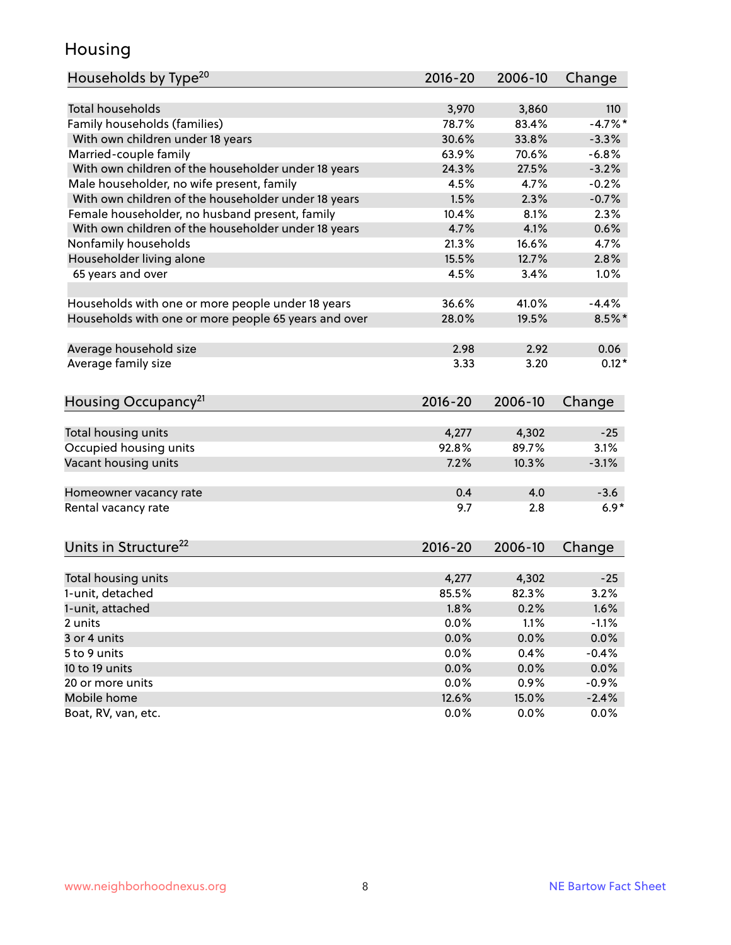### Housing

| Households by Type <sup>20</sup>                     | 2016-20     | 2006-10 | Change     |
|------------------------------------------------------|-------------|---------|------------|
|                                                      |             |         |            |
| <b>Total households</b>                              | 3,970       | 3,860   | 110        |
| Family households (families)                         | 78.7%       | 83.4%   | $-4.7\%$ * |
| With own children under 18 years                     | 30.6%       | 33.8%   | $-3.3%$    |
| Married-couple family                                | 63.9%       | 70.6%   | $-6.8%$    |
| With own children of the householder under 18 years  | 24.3%       | 27.5%   | $-3.2%$    |
| Male householder, no wife present, family            | 4.5%        | 4.7%    | $-0.2%$    |
| With own children of the householder under 18 years  | 1.5%        | 2.3%    | $-0.7%$    |
| Female householder, no husband present, family       | 10.4%       | 8.1%    | 2.3%       |
| With own children of the householder under 18 years  | 4.7%        | 4.1%    | 0.6%       |
| Nonfamily households                                 | 21.3%       | 16.6%   | 4.7%       |
| Householder living alone                             | 15.5%       | 12.7%   | 2.8%       |
| 65 years and over                                    | 4.5%        | 3.4%    | 1.0%       |
|                                                      |             |         |            |
| Households with one or more people under 18 years    | 36.6%       | 41.0%   | $-4.4%$    |
| Households with one or more people 65 years and over | 28.0%       | 19.5%   | $8.5\%$ *  |
|                                                      |             |         |            |
| Average household size                               | 2.98        | 2.92    | 0.06       |
| Average family size                                  | 3.33        | 3.20    | $0.12*$    |
|                                                      |             |         |            |
| Housing Occupancy <sup>21</sup>                      | 2016-20     | 2006-10 | Change     |
|                                                      |             |         |            |
| Total housing units                                  | 4,277       | 4,302   | $-25$      |
| Occupied housing units                               | 92.8%       | 89.7%   | 3.1%       |
| Vacant housing units                                 | 7.2%        | 10.3%   | $-3.1%$    |
|                                                      |             |         |            |
| Homeowner vacancy rate                               | 0.4         | 4.0     | $-3.6$     |
| Rental vacancy rate                                  | 9.7         | 2.8     | $6.9*$     |
|                                                      |             |         |            |
| Units in Structure <sup>22</sup>                     | $2016 - 20$ | 2006-10 | Change     |
|                                                      |             |         |            |
| Total housing units                                  | 4,277       | 4,302   | $-25$      |
| 1-unit, detached                                     | 85.5%       | 82.3%   | 3.2%       |
| 1-unit, attached                                     | 1.8%        | 0.2%    | 1.6%       |
| 2 units                                              | 0.0%        | 1.1%    | $-1.1%$    |
| 3 or 4 units                                         | 0.0%        | 0.0%    | 0.0%       |
| 5 to 9 units                                         | $0.0\%$     | 0.4%    | $-0.4%$    |
| 10 to 19 units                                       | 0.0%        | 0.0%    | 0.0%       |
| 20 or more units                                     | 0.0%        | 0.9%    | $-0.9%$    |
| Mobile home                                          | 12.6%       | 15.0%   | $-2.4%$    |
| Boat, RV, van, etc.                                  | 0.0%        | 0.0%    | $0.0\%$    |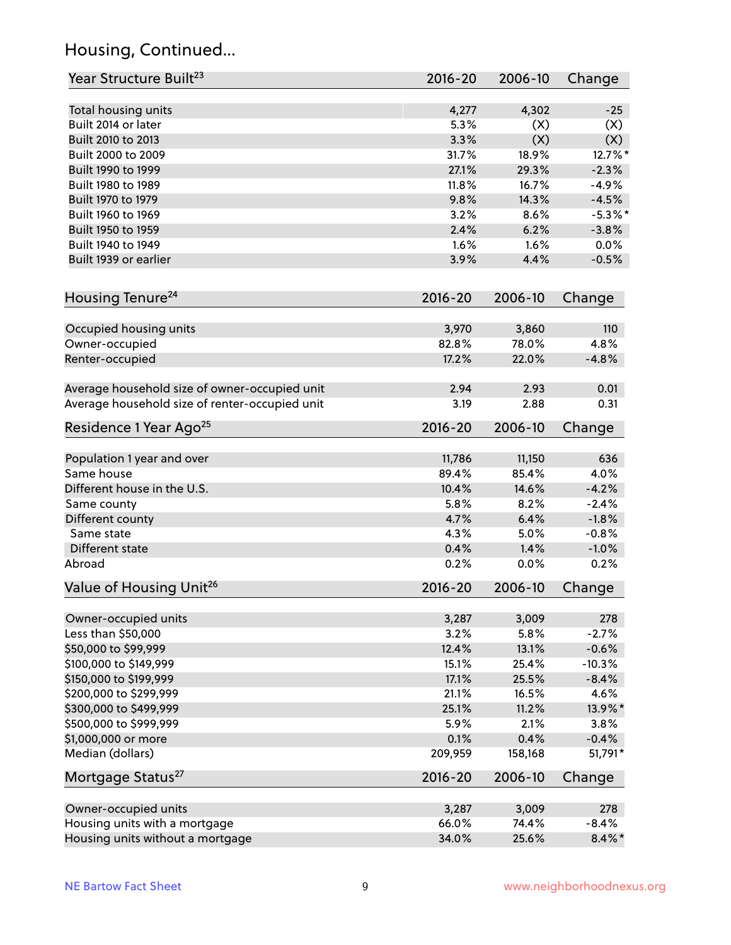# Housing, Continued...

| Year Structure Built <sup>23</sup>             | 2016-20     | 2006-10 | Change     |
|------------------------------------------------|-------------|---------|------------|
| Total housing units                            | 4,277       | 4,302   | $-25$      |
| Built 2014 or later                            | 5.3%        | (X)     | (X)        |
| Built 2010 to 2013                             | 3.3%        | (X)     | (X)        |
| Built 2000 to 2009                             | 31.7%       | 18.9%   | 12.7%*     |
| Built 1990 to 1999                             | 27.1%       | 29.3%   | $-2.3%$    |
| Built 1980 to 1989                             | 11.8%       | 16.7%   | $-4.9%$    |
| Built 1970 to 1979                             | 9.8%        | 14.3%   | $-4.5%$    |
| Built 1960 to 1969                             | 3.2%        | 8.6%    | $-5.3\%$ * |
| Built 1950 to 1959                             | 2.4%        | 6.2%    | $-3.8%$    |
| Built 1940 to 1949                             | 1.6%        | 1.6%    | 0.0%       |
| Built 1939 or earlier                          | 3.9%        | 4.4%    | $-0.5%$    |
|                                                |             |         |            |
| Housing Tenure <sup>24</sup>                   | $2016 - 20$ | 2006-10 | Change     |
|                                                |             |         |            |
| Occupied housing units                         | 3,970       | 3,860   | 110        |
| Owner-occupied                                 | 82.8%       | 78.0%   | 4.8%       |
| Renter-occupied                                | 17.2%       | 22.0%   | $-4.8%$    |
| Average household size of owner-occupied unit  | 2.94        | 2.93    | 0.01       |
| Average household size of renter-occupied unit | 3.19        | 2.88    | 0.31       |
| Residence 1 Year Ago <sup>25</sup>             | $2016 - 20$ | 2006-10 | Change     |
|                                                |             |         |            |
| Population 1 year and over                     | 11,786      | 11,150  | 636        |
| Same house                                     | 89.4%       | 85.4%   | 4.0%       |
| Different house in the U.S.                    | 10.4%       | 14.6%   | $-4.2%$    |
| Same county                                    | 5.8%        | 8.2%    | $-2.4%$    |
| Different county                               | 4.7%        | 6.4%    | $-1.8%$    |
| Same state                                     | 4.3%        | 5.0%    | $-0.8%$    |
| Different state                                | 0.4%        | 1.4%    | $-1.0%$    |
| Abroad                                         | 0.2%        | 0.0%    | 0.2%       |
| Value of Housing Unit <sup>26</sup>            | 2016-20     | 2006-10 | Change     |
| Owner-occupied units                           | 3,287       | 3,009   | 278        |
| Less than \$50,000                             | 3.2%        | 5.8%    | $-2.7%$    |
| \$50,000 to \$99,999                           | 12.4%       | 13.1%   | $-0.6%$    |
| \$100,000 to \$149,999                         | 15.1%       | 25.4%   | $-10.3%$   |
| \$150,000 to \$199,999                         | 17.1%       | 25.5%   | $-8.4%$    |
| \$200,000 to \$299,999                         | 21.1%       | 16.5%   | 4.6%       |
| \$300,000 to \$499,999                         | 25.1%       | 11.2%   | 13.9%*     |
| \$500,000 to \$999,999                         | 5.9%        | 2.1%    | 3.8%       |
| \$1,000,000 or more                            | 0.1%        | 0.4%    | $-0.4%$    |
| Median (dollars)                               | 209,959     | 158,168 | 51,791*    |
| Mortgage Status <sup>27</sup>                  | $2016 - 20$ | 2006-10 | Change     |
|                                                |             |         |            |
| Owner-occupied units                           | 3,287       | 3,009   | 278        |
| Housing units with a mortgage                  | 66.0%       | 74.4%   | $-8.4%$    |
| Housing units without a mortgage               | 34.0%       | 25.6%   | $8.4\% *$  |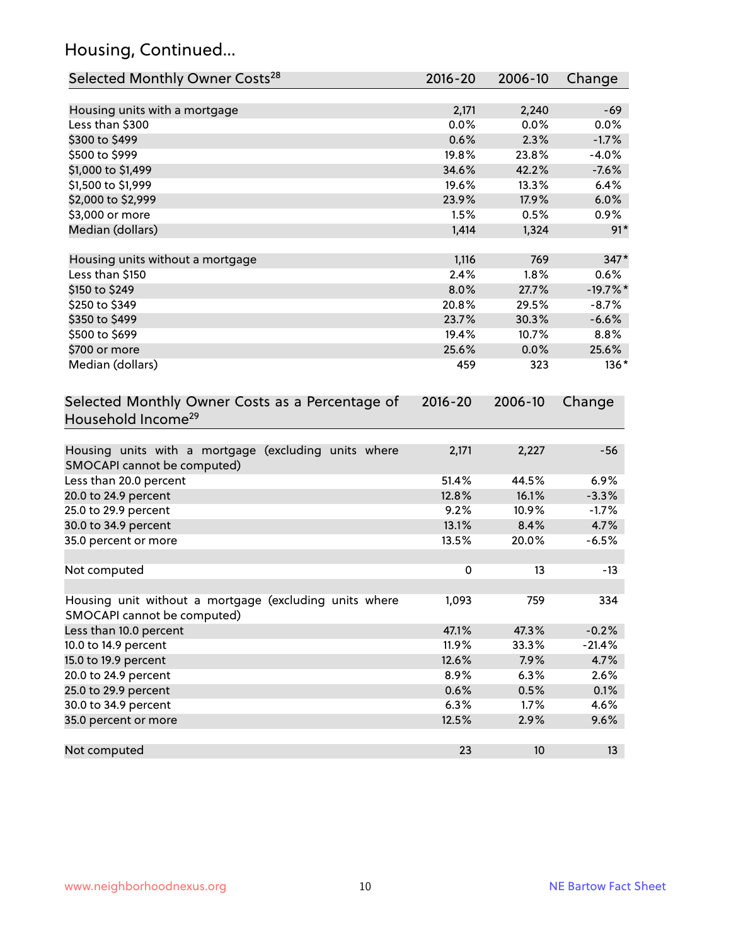# Housing, Continued...

| Selected Monthly Owner Costs <sup>28</sup>                                            | 2016-20     | 2006-10 | Change     |
|---------------------------------------------------------------------------------------|-------------|---------|------------|
| Housing units with a mortgage                                                         | 2,171       | 2,240   | $-69$      |
| Less than \$300                                                                       | 0.0%        | 0.0%    | 0.0%       |
| \$300 to \$499                                                                        | 0.6%        | 2.3%    | $-1.7%$    |
| \$500 to \$999                                                                        | 19.8%       | 23.8%   | $-4.0%$    |
| \$1,000 to \$1,499                                                                    | 34.6%       | 42.2%   | $-7.6%$    |
| \$1,500 to \$1,999                                                                    | 19.6%       | 13.3%   | 6.4%       |
| \$2,000 to \$2,999                                                                    | 23.9%       | 17.9%   | 6.0%       |
| \$3,000 or more                                                                       | 1.5%        | 0.5%    | 0.9%       |
| Median (dollars)                                                                      | 1,414       | 1,324   | $91*$      |
| Housing units without a mortgage                                                      | 1,116       | 769     | $347*$     |
| Less than \$150                                                                       | 2.4%        | 1.8%    | 0.6%       |
| \$150 to \$249                                                                        | 8.0%        | 27.7%   | $-19.7%$ * |
| \$250 to \$349                                                                        | 20.8%       | 29.5%   | $-8.7%$    |
| \$350 to \$499                                                                        | 23.7%       | 30.3%   | $-6.6%$    |
| \$500 to \$699                                                                        | 19.4%       | 10.7%   | 8.8%       |
| \$700 or more                                                                         | 25.6%       | 0.0%    | 25.6%      |
| Median (dollars)                                                                      | 459         | 323     | $136*$     |
| Selected Monthly Owner Costs as a Percentage of<br>Household Income <sup>29</sup>     | $2016 - 20$ | 2006-10 | Change     |
| Housing units with a mortgage (excluding units where                                  | 2,171       |         | $-56$      |
| SMOCAPI cannot be computed)                                                           |             | 2,227   |            |
| Less than 20.0 percent                                                                | 51.4%       | 44.5%   | 6.9%       |
| 20.0 to 24.9 percent                                                                  | 12.8%       | 16.1%   | $-3.3%$    |
| 25.0 to 29.9 percent                                                                  | 9.2%        | 10.9%   | $-1.7%$    |
| 30.0 to 34.9 percent                                                                  | 13.1%       | 8.4%    | 4.7%       |
| 35.0 percent or more                                                                  | 13.5%       | 20.0%   | $-6.5%$    |
| Not computed                                                                          | $\pmb{0}$   | 13      | $-13$      |
| Housing unit without a mortgage (excluding units where<br>SMOCAPI cannot be computed) | 1,093       | 759     | 334        |
| Less than 10.0 percent                                                                | 47.1%       | 47.3%   | $-0.2%$    |
| 10.0 to 14.9 percent                                                                  | 11.9%       | 33.3%   | $-21.4%$   |
| 15.0 to 19.9 percent                                                                  | 12.6%       | 7.9%    | 4.7%       |
| 20.0 to 24.9 percent                                                                  | 8.9%        | 6.3%    | 2.6%       |
| 25.0 to 29.9 percent                                                                  | 0.6%        | 0.5%    | 0.1%       |
| 30.0 to 34.9 percent                                                                  | 6.3%        | 1.7%    | 4.6%       |
| 35.0 percent or more                                                                  | 12.5%       | 2.9%    | 9.6%       |
| Not computed                                                                          | 23          | 10      | 13         |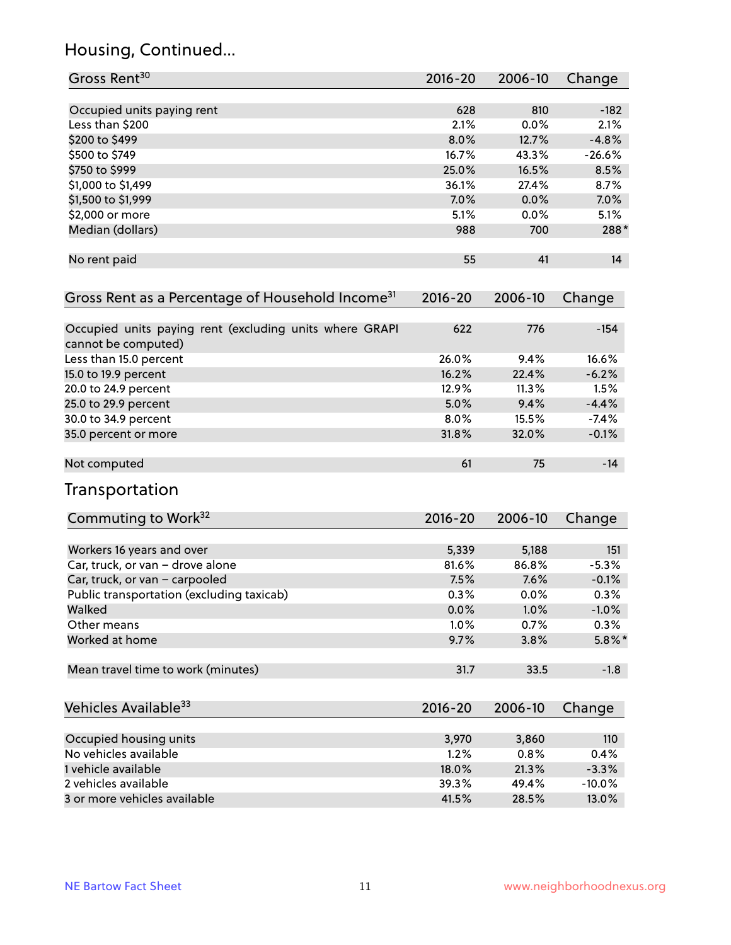# Housing, Continued...

| Gross Rent <sup>30</sup>                                                       | 2016-20     | 2006-10 | Change    |
|--------------------------------------------------------------------------------|-------------|---------|-----------|
| Occupied units paying rent                                                     | 628         | 810     | $-182$    |
| Less than \$200                                                                | 2.1%        | 0.0%    | 2.1%      |
| \$200 to \$499                                                                 | 8.0%        | 12.7%   | $-4.8%$   |
| \$500 to \$749                                                                 | 16.7%       | 43.3%   | $-26.6%$  |
| \$750 to \$999                                                                 | 25.0%       | 16.5%   | 8.5%      |
| \$1,000 to \$1,499                                                             | 36.1%       | 27.4%   | 8.7%      |
| \$1,500 to \$1,999                                                             | 7.0%        | 0.0%    | 7.0%      |
| \$2,000 or more                                                                | 5.1%        | 0.0%    | 5.1%      |
| Median (dollars)                                                               | 988         | 700     | 288*      |
| No rent paid                                                                   | 55          | 41      | 14        |
| Gross Rent as a Percentage of Household Income <sup>31</sup>                   | $2016 - 20$ | 2006-10 | Change    |
| Occupied units paying rent (excluding units where GRAPI<br>cannot be computed) | 622         | 776     | $-154$    |
| Less than 15.0 percent                                                         | 26.0%       | 9.4%    | 16.6%     |
| 15.0 to 19.9 percent                                                           | 16.2%       | 22.4%   | $-6.2%$   |
| 20.0 to 24.9 percent                                                           | 12.9%       | 11.3%   | 1.5%      |
| 25.0 to 29.9 percent                                                           | 5.0%        | 9.4%    | $-4.4%$   |
| 30.0 to 34.9 percent                                                           | 8.0%        | 15.5%   | $-7.4%$   |
| 35.0 percent or more                                                           | 31.8%       | 32.0%   | $-0.1%$   |
| Not computed                                                                   | 61          | 75      | $-14$     |
| Transportation                                                                 |             |         |           |
| Commuting to Work <sup>32</sup>                                                | 2016-20     | 2006-10 | Change    |
| Workers 16 years and over                                                      | 5,339       | 5,188   | 151       |
| Car, truck, or van - drove alone                                               | 81.6%       | 86.8%   | $-5.3%$   |
| Car, truck, or van - carpooled                                                 | 7.5%        | 7.6%    | $-0.1%$   |
| Public transportation (excluding taxicab)                                      | 0.3%        | 0.0%    | 0.3%      |
| Walked                                                                         | 0.0%        | 1.0%    | $-1.0%$   |
| Other means                                                                    | 1.0%        | 0.7%    | 0.3%      |
| Worked at home                                                                 | 9.7%        | 3.8%    | $5.8\%$ * |
| Mean travel time to work (minutes)                                             | 31.7        | 33.5    | $-1.8$    |
| Vehicles Available <sup>33</sup>                                               | 2016-20     | 2006-10 | Change    |
| Occupied housing units                                                         | 3,970       | 3,860   | 110       |
| No vehicles available                                                          | 1.2%        | 0.8%    | 0.4%      |
| 1 vehicle available                                                            | 18.0%       | 21.3%   | $-3.3%$   |
| 2 vehicles available                                                           | 39.3%       | 49.4%   | $-10.0%$  |
| 3 or more vehicles available                                                   | 41.5%       | 28.5%   | 13.0%     |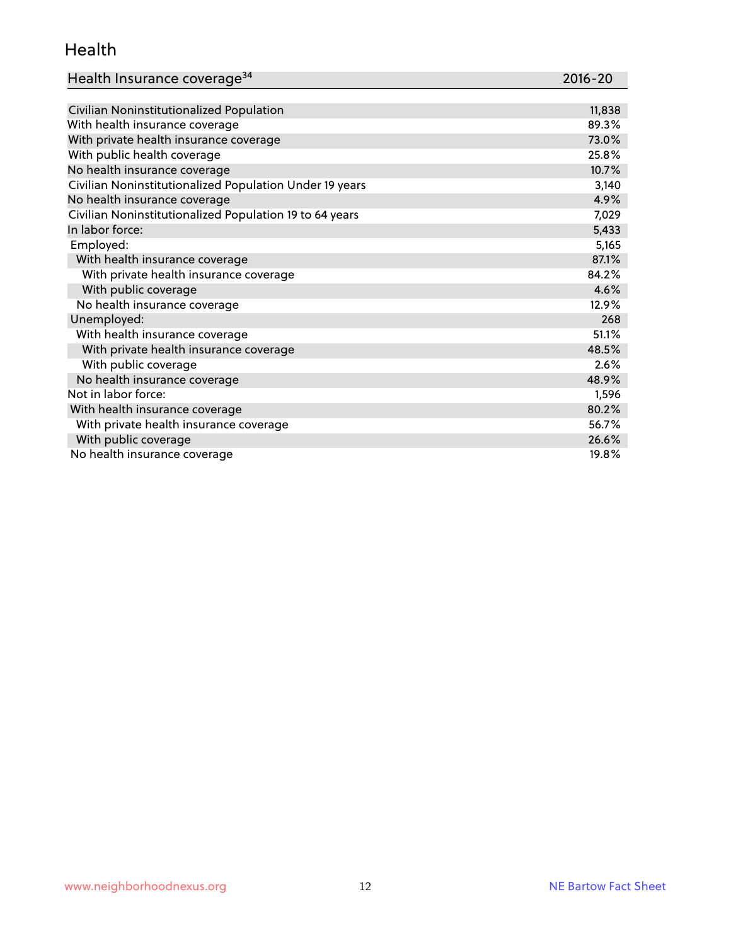#### Health

| Health Insurance coverage <sup>34</sup> | 2016-20 |
|-----------------------------------------|---------|
|-----------------------------------------|---------|

| Civilian Noninstitutionalized Population                | 11,838 |
|---------------------------------------------------------|--------|
| With health insurance coverage                          | 89.3%  |
| With private health insurance coverage                  | 73.0%  |
| With public health coverage                             | 25.8%  |
| No health insurance coverage                            | 10.7%  |
| Civilian Noninstitutionalized Population Under 19 years | 3,140  |
| No health insurance coverage                            | 4.9%   |
| Civilian Noninstitutionalized Population 19 to 64 years | 7,029  |
| In labor force:                                         | 5,433  |
| Employed:                                               | 5,165  |
| With health insurance coverage                          | 87.1%  |
| With private health insurance coverage                  | 84.2%  |
| With public coverage                                    | 4.6%   |
| No health insurance coverage                            | 12.9%  |
| Unemployed:                                             | 268    |
| With health insurance coverage                          | 51.1%  |
| With private health insurance coverage                  | 48.5%  |
| With public coverage                                    | 2.6%   |
| No health insurance coverage                            | 48.9%  |
| Not in labor force:                                     | 1,596  |
| With health insurance coverage                          | 80.2%  |
| With private health insurance coverage                  | 56.7%  |
| With public coverage                                    | 26.6%  |
| No health insurance coverage                            | 19.8%  |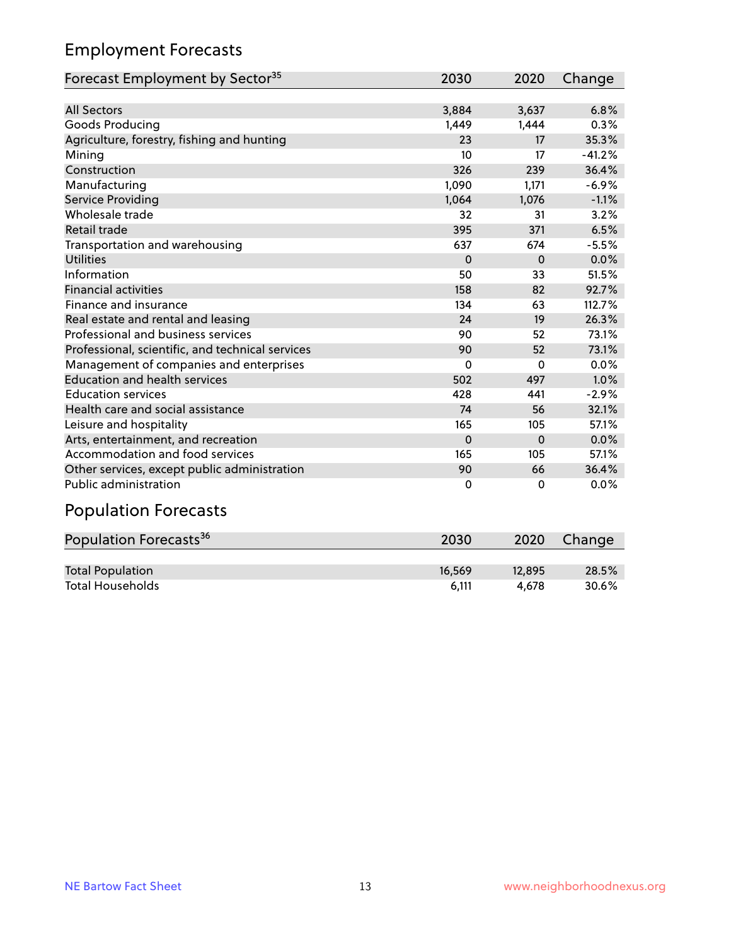# Employment Forecasts

| Forecast Employment by Sector <sup>35</sup>      | 2030     | 2020     | Change   |
|--------------------------------------------------|----------|----------|----------|
|                                                  |          |          |          |
| <b>All Sectors</b>                               | 3,884    | 3,637    | 6.8%     |
| Goods Producing                                  | 1,449    | 1,444    | 0.3%     |
| Agriculture, forestry, fishing and hunting       | 23       | 17       | 35.3%    |
| Mining                                           | 10       | 17       | $-41.2%$ |
| Construction                                     | 326      | 239      | 36.4%    |
| Manufacturing                                    | 1,090    | 1,171    | $-6.9%$  |
| <b>Service Providing</b>                         | 1,064    | 1,076    | $-1.1%$  |
| Wholesale trade                                  | 32       | 31       | 3.2%     |
| Retail trade                                     | 395      | 371      | 6.5%     |
| Transportation and warehousing                   | 637      | 674      | $-5.5%$  |
| <b>Utilities</b>                                 | $\Omega$ | $\Omega$ | 0.0%     |
| Information                                      | 50       | 33       | 51.5%    |
| <b>Financial activities</b>                      | 158      | 82       | 92.7%    |
| Finance and insurance                            | 134      | 63       | 112.7%   |
| Real estate and rental and leasing               | 24       | 19       | 26.3%    |
| Professional and business services               | 90       | 52       | 73.1%    |
| Professional, scientific, and technical services | 90       | 52       | 73.1%    |
| Management of companies and enterprises          | 0        | 0        | 0.0%     |
| <b>Education and health services</b>             | 502      | 497      | 1.0%     |
| <b>Education services</b>                        | 428      | 441      | $-2.9%$  |
| Health care and social assistance                | 74       | 56       | 32.1%    |
| Leisure and hospitality                          | 165      | 105      | 57.1%    |
| Arts, entertainment, and recreation              | 0        | $\Omega$ | 0.0%     |
| Accommodation and food services                  | 165      | 105      | 57.1%    |
| Other services, except public administration     | 90       | 66       | 36.4%    |
| <b>Public administration</b>                     | 0        | $\Omega$ | 0.0%     |

# Population Forecasts

| Population Forecasts <sup>36</sup> | 2030   | 2020   | Change |
|------------------------------------|--------|--------|--------|
|                                    |        |        |        |
| <b>Total Population</b>            | 16.569 | 12.895 | 28.5%  |
| <b>Total Households</b>            | 6.111  | 4.678  | 30.6%  |